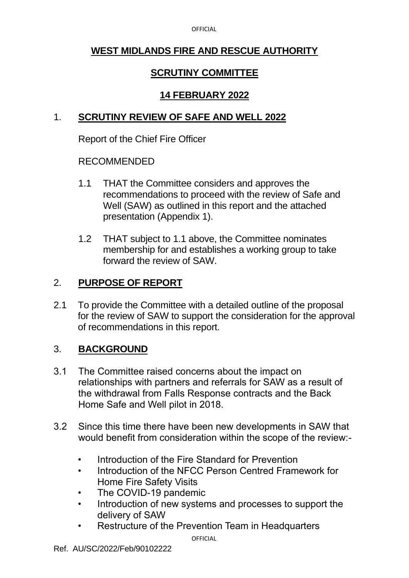**OFFICIAL** 

## **WEST MIDLANDS FIRE AND RESCUE AUTHORITY**

# **SCRUTINY COMMITTEE**

# **14 FEBRUARY 2022**

## 1. **SCRUTINY REVIEW OF SAFE AND WELL 2022**

Report of the Chief Fire Officer

## RECOMMENDED

- 1.1 THAT the Committee considers and approves the recommendations to proceed with the review of Safe and Well (SAW) as outlined in this report and the attached presentation (Appendix 1).
- 1.2 THAT subject to 1.1 above, the Committee nominates membership for and establishes a working group to take forward the review of SAW.

# 2. **PURPOSE OF REPORT**

2.1 To provide the Committee with a detailed outline of the proposal for the review of SAW to support the consideration for the approval of recommendations in this report.

## 3. **BACKGROUND**

- 3.1 The Committee raised concerns about the impact on relationships with partners and referrals for SAW as a result of the withdrawal from Falls Response contracts and the Back Home Safe and Well pilot in 2018.
- 3.2 Since this time there have been new developments in SAW that would benefit from consideration within the scope of the review:-
	- Introduction of the Fire Standard for Prevention
	- Introduction of the NFCC Person Centred Framework for Home Fire Safety Visits
	- The COVID-19 pandemic
	- Introduction of new systems and processes to support the delivery of SAW
	- Restructure of the Prevention Team in Headquarters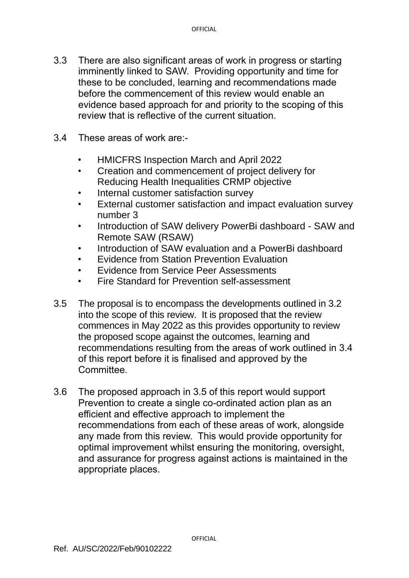- 3.3 There are also significant areas of work in progress or starting imminently linked to SAW. Providing opportunity and time for these to be concluded, learning and recommendations made before the commencement of this review would enable an evidence based approach for and priority to the scoping of this review that is reflective of the current situation.
- 3.4 These areas of work are:-
	- HMICFRS Inspection March and April 2022
	- Creation and commencement of project delivery for Reducing Health Inequalities CRMP objective
	- Internal customer satisfaction survey
	- External customer satisfaction and impact evaluation survey number 3
	- Introduction of SAW delivery PowerBi dashboard SAW and Remote SAW (RSAW)
	- Introduction of SAW evaluation and a PowerBi dashboard
	- Evidence from Station Prevention Evaluation
	- Evidence from Service Peer Assessments
	- Fire Standard for Prevention self-assessment
- 3.5 The proposal is to encompass the developments outlined in 3.2 into the scope of this review. It is proposed that the review commences in May 2022 as this provides opportunity to review the proposed scope against the outcomes, learning and recommendations resulting from the areas of work outlined in 3.4 of this report before it is finalised and approved by the Committee.
- 3.6 The proposed approach in 3.5 of this report would support Prevention to create a single co-ordinated action plan as an efficient and effective approach to implement the recommendations from each of these areas of work, alongside any made from this review. This would provide opportunity for optimal improvement whilst ensuring the monitoring, oversight, and assurance for progress against actions is maintained in the appropriate places.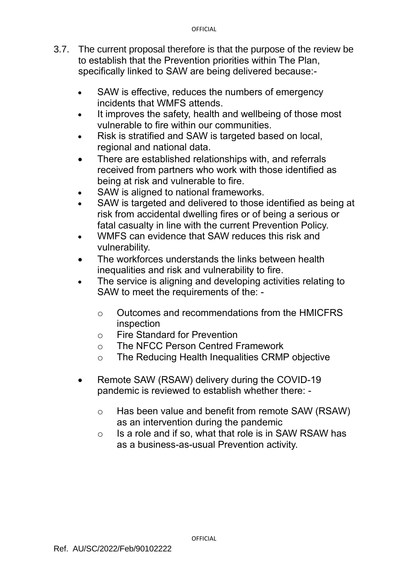- 3.7. The current proposal therefore is that the purpose of the review be to establish that the Prevention priorities within The Plan, specifically linked to SAW are being delivered because:-
	- SAW is effective, reduces the numbers of emergency incidents that WMFS attends.
	- It improves the safety, health and wellbeing of those most vulnerable to fire within our communities.
	- Risk is stratified and SAW is targeted based on local, regional and national data.
	- There are established relationships with, and referrals received from partners who work with those identified as being at risk and vulnerable to fire.
	- SAW is aligned to national frameworks.
	- SAW is targeted and delivered to those identified as being at risk from accidental dwelling fires or of being a serious or fatal casualty in line with the current Prevention Policy.
	- WMFS can evidence that SAW reduces this risk and vulnerability.
	- The workforces understands the links between health inequalities and risk and vulnerability to fire.
	- The service is aligning and developing activities relating to SAW to meet the requirements of the:
		- o Outcomes and recommendations from the HMICFRS inspection
		- o Fire Standard for Prevention
		- o The NFCC Person Centred Framework
		- o The Reducing Health Inequalities CRMP objective
	- Remote SAW (RSAW) delivery during the COVID-19 pandemic is reviewed to establish whether there:
		- o Has been value and benefit from remote SAW (RSAW) as an intervention during the pandemic
		- $\circ$  Is a role and if so, what that role is in SAW RSAW has as a business-as-usual Prevention activity.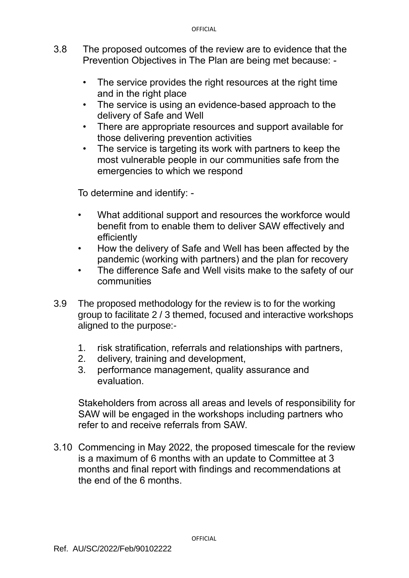- 3.8 The proposed outcomes of the review are to evidence that the Prevention Objectives in The Plan are being met because: -
	- The service provides the right resources at the right time and in the right place
	- The service is using an evidence-based approach to the delivery of Safe and Well
	- There are appropriate resources and support available for those delivering prevention activities
	- The service is targeting its work with partners to keep the most vulnerable people in our communities safe from the emergencies to which we respond

To determine and identify: -

- What additional support and resources the workforce would benefit from to enable them to deliver SAW effectively and efficiently
- How the delivery of Safe and Well has been affected by the pandemic (working with partners) and the plan for recovery
- The difference Safe and Well visits make to the safety of our communities
- 3.9 The proposed methodology for the review is to for the working group to facilitate 2 / 3 themed, focused and interactive workshops aligned to the purpose:-
	- 1. risk stratification, referrals and relationships with partners,
	- 2. delivery, training and development,
	- 3. performance management, quality assurance and evaluation.

Stakeholders from across all areas and levels of responsibility for SAW will be engaged in the workshops including partners who refer to and receive referrals from SAW.

3.10 Commencing in May 2022, the proposed timescale for the review is a maximum of 6 months with an update to Committee at 3 months and final report with findings and recommendations at the end of the 6 months.